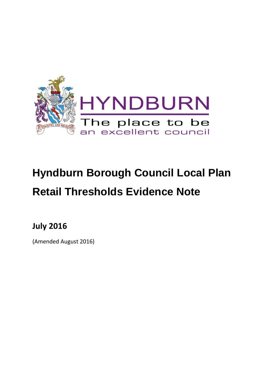

# **Hyndburn Borough Council Local Plan Retail Thresholds Evidence Note**

**July 2016**

(Amended August 2016)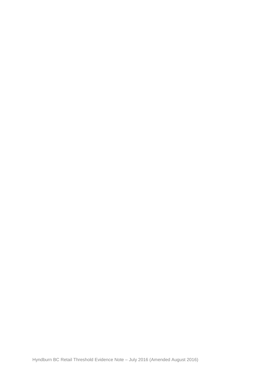Hyndburn BC Retail Threshold Evidence Note – July 2016 (Amended August 2016)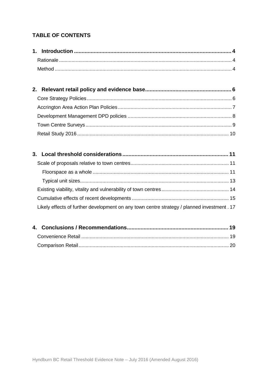# **TABLE OF CONTENTS**

| Likely effects of further development on any town centre strategy / planned investment . 17 |  |
|---------------------------------------------------------------------------------------------|--|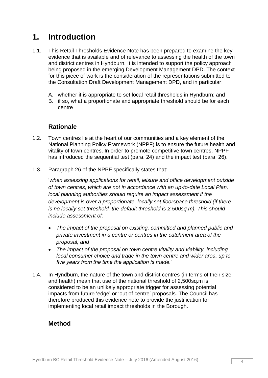# <span id="page-3-0"></span>**1. Introduction**

- 1.1. This Retail Thresholds Evidence Note has been prepared to examine the key evidence that is available and of relevance to assessing the health of the town and district centres in Hyndburn. It is intended to support the policy approach being proposed in the emerging Development Management DPD. The context for this piece of work is the consideration of the representations submitted to the Consultation Draft Development Management DPD, and in particular:
	- A. whether it is appropriate to set local retail thresholds in Hyndburn; and
	- B. if so, what a proportionate and appropriate threshold should be for each centre

# **Rationale**

- <span id="page-3-1"></span>1.2. Town centres lie at the heart of our communities and a key element of the National Planning Policy Framework (NPPF) is to ensure the future health and vitality of town centres. In order to promote competitive town centres, NPPF has introduced the sequential test (para. 24) and the impact test (para. 26).
- 1.3. Paragraph 26 of the NPPF specifically states that:

'*when assessing applications for retail, leisure and office development outside of town centres, which are not in accordance with an up-to-date Local Plan, local planning authorities should require an impact assessment if the development is over a proportionate, locally set floorspace threshold (if there is no locally set threshold, the default threshold is 2,500sq.m). This should include assessment of:*

- *The impact of the proposal on existing, committed and planned public and private investment in a centre or centres in the catchment area of the proposal; and*
- *The impact of the proposal on town centre vitality and viability, including local consumer choice and trade in the town centre and wider area, up to five years from the time the application is made.'*
- 1.4. In Hyndburn, the nature of the town and district centres (in terms of their size and health) mean that use of the national threshold of 2,500sq.m is considered to be an unlikely appropriate trigger for assessing potential impacts from future 'edge' or 'out of centre' proposals. The Council has therefore produced this evidence note to provide the justification for implementing local retail impact thresholds in the Borough.

# <span id="page-3-2"></span>**Method**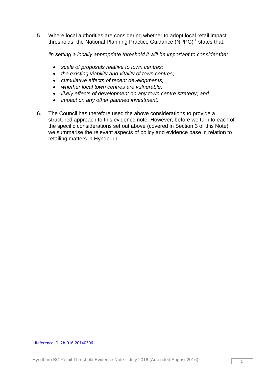1.5. Where local authorities are considering whether to adopt local retail impact thresholds, the National Planning Practice Guidance (NPPG)<sup>1</sup> states that:

*'in setting a locally appropriate threshold it will be important to consider the:*

- *scale of proposals relative to town centres;*
- *the existing viability and vitality of town centres;*
- *cumulative effects of recent developments;*
- *whether local town centres are vulnerable;*
- *likely effects of development on any town centre strategy; and*
- *impact on any other planned investment.*
- 1.6. The Council has therefore used the above considerations to provide a structured approach to this evidence note. However, before we turn to each of the specific considerations set out above (covered in Section 3 of this Note), we summarise the relevant aspects of policy and evidence base in relation to retailing matters in Hyndburn.

**.** 

<sup>1</sup> [Reference ID: 2b-016-20140306](http://planningguidance.communities.gov.uk/blog/guidance/ensuring-the-vitality-of-town-centres/ensuring-the-vitality-of-town-centres-guidance/)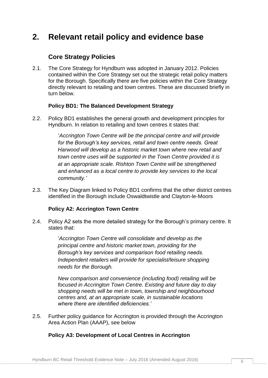# <span id="page-5-0"></span>**2. Relevant retail policy and evidence base**

# **Core Strategy Policies**

<span id="page-5-1"></span>2.1. The Core Strategy for Hyndburn was adopted in January 2012. Policies contained within the Core Strategy set out the strategic retail policy matters for the Borough. Specifically there are five policies within the Core Strategy directly relevant to retailing and town centres. These are discussed briefly in turn below.

#### **Policy BD1: The Balanced Development Strategy**

2.2. Policy BD1 establishes the general growth and development principles for Hyndburn. In relation to retailing and town centres it states that:

> '*Accrington Town Centre will be the principal centre and will provide for the Borough's key services, retail and town centre needs. Great Harwood will develop as a historic market town where new retail and town centre uses will be supported in the Town Centre provided it is at an appropriate scale. Rishton Town Centre will be strengthened and enhanced as a local centre to provide key services to the local community.'*

2.3. The Key Diagram linked to Policy BD1 confirms that the other district centres identified in the Borough include Oswaldtwistle and Clayton-le-Moors

#### **Policy A2: Accrington Town Centre**

2.4. Policy A2 sets the more detailed strategy for the Borough's primary centre. It states that:

> '*Accrington Town Centre will consolidate and develop as the principal centre and historic market town, providing for the Borough's key services and comparison food retailing needs. Independent retailers will provide for specialist/leisure shopping needs for the Borough.*

*New comparison and convenience (including food) retailing will be focused in Accrington Town Centre. Existing and future day to day shopping needs will be met in town, township and neighbourhood centres and, at an appropriate scale, in sustainable locations where there are identified deficiencies.'*

2.5. Further policy guidance for Accrington is provided through the Accrington Area Action Plan (AAAP), see below

#### **Policy A3: Development of Local Centres in Accrington**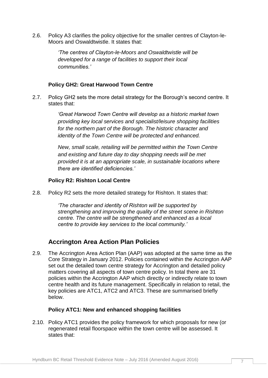2.6. Policy A3 clarifies the policy objective for the smaller centres of Clayton-le-Moors and Oswaldtwistle. It states that:

> *'The centres of Clayton-le-Moors and Oswaldtwistle will be developed for a range of facilities to support their local communities.'*

#### **Policy GH2: Great Harwood Town Centre**

2.7. Policy GH2 sets the more detail strategy for the Borough's second centre. It states that:

> *'Great Harwood Town Centre will develop as a historic market town providing key local services and specialist/leisure shopping facilities for the northern part of the Borough. The historic character and identity of the Town Centre will be protected and enhanced.*

> *New, small scale, retailing will be permitted within the Town Centre and existing and future day to day shopping needs will be met provided it is at an appropriate scale, in sustainable locations where there are identified deficiencies.'*

#### **Policy R2: Rishton Local Centre**

2.8. Policy R2 sets the more detailed strategy for Rishton. It states that:

*'The character and identity of Rishton will be supported by strengthening and improving the quality of the street scene in Rishton centre. The centre will be strengthened and enhanced as a local centre to provide key services to the local community.'*

# **Accrington Area Action Plan Policies**

<span id="page-6-0"></span>2.9. The Accrington Area Action Plan (AAP) was adopted at the same time as the Core Strategy in January 2012. Policies contained within the Accrington AAP set out the detailed town centre strategy for Accrington and detailed policy matters covering all aspects of town centre policy. In total there are 31 policies within the Accrington AAP which directly or indirectly relate to town centre health and its future management. Specifically in relation to retail, the key policies are ATC1, ATC2 and ATC3. These are summarised briefly below.

#### **Policy ATC1: New and enhanced shopping facilities**

2.10. Policy ATC1 provides the policy framework for which proposals for new (or regenerated retail floorspace within the town centre will be assessed. It states that: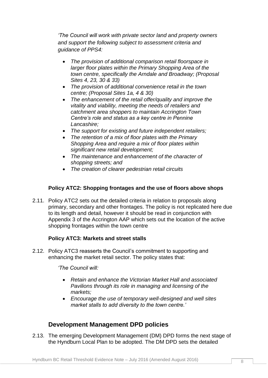*'The Council will work with private sector land and property owners and support the following subject to assessment criteria and guidance of PPS4:*

- *The provision of additional comparison retail floorspace in larger floor plates within the Primary Shopping Area of the town centre, specifically the Arndale and Broadway; (Proposal Sites 4, 23, 30 & 33)*
- *The provision of additional convenience retail in the town centre; (Proposal Sites 1a, 4 & 30)*
- *The enhancement of the retail offer/quality and improve the vitality and viability, meeting the needs of retailers and catchment area shoppers to maintain Accrington Town Centre's role and status as a key centre in Pennine Lancashire;*
- *The support for existing and future independent retailers;*
- *The retention of a mix of floor plates with the Primary Shopping Area and require a mix of floor plates within significant new retail development;*
- *The maintenance and enhancement of the character of shopping streets; and*
- *The creation of clearer pedestrian retail circuits*

#### **Policy ATC2: Shopping frontages and the use of floors above shops**

2.11. Policy ATC2 sets out the detailed criteria in relation to proposals along primary, secondary and other frontages. The policy is not replicated here due to its length and detail, however it should be read in conjunction with Appendix 3 of the Accrington AAP which sets out the location of the active shopping frontages within the town centre

#### **Policy ATC3: Markets and street stalls**

2.12. Policy ATC3 reasserts the Council's commitment to supporting and enhancing the market retail sector. The policy states that:

*'The Council will:*

- *Retain and enhance the Victorian Market Hall and associated Pavilions through its role in managing and licensing of the markets;*
- *Encourage the use of temporary well-designed and well sites market stalls to add diversity to the town centre.'*

# **Development Management DPD policies**

<span id="page-7-0"></span>2.13. The emerging Development Management (DM) DPD forms the next stage of the Hyndburn Local Plan to be adopted. The DM DPD sets the detailed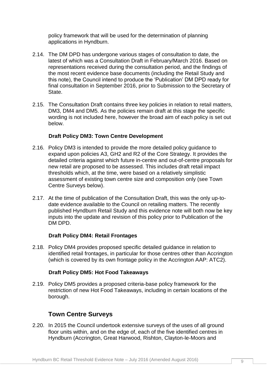policy framework that will be used for the determination of planning applications in Hyndburn.

- 2.14. The DM DPD has undergone various stages of consultation to date, the latest of which was a Consultation Draft in February/March 2016. Based on representations received during the consultation period, and the findings of the most recent evidence base documents (including the Retail Study and this note), the Council intend to produce the 'Publication' DM DPD ready for final consultation in September 2016, prior to Submission to the Secretary of State.
- 2.15. The Consultation Draft contains three key policies in relation to retail matters, DM3, DM4 and DM5. As the policies remain draft at this stage the specific wording is not included here, however the broad aim of each policy is set out below.

#### **Draft Policy DM3: Town Centre Development**

- 2.16. Policy DM3 is intended to provide the more detailed policy guidance to expand upon policies A3, GH2 and R2 of the Core Strategy. It provides the detailed criteria against which future in-centre and out-of-centre proposals for new retail are proposed to be assessed. This includes draft retail impact thresholds which, at the time, were based on a relatively simplistic assessment of existing town centre size and composition only (see Town Centre Surveys below).
- 2.17. At the time of publication of the Consultation Draft, this was the only up-todate evidence available to the Council on retailing matters. The recently published Hyndburn Retail Study and this evidence note will both now be key inputs into the update and revision of this policy prior to Publication of the DM DPD.

#### **Draft Policy DM4: Retail Frontages**

2.18. Policy DM4 provides proposed specific detailed guidance in relation to identified retail frontages, in particular for those centres other than Accrington (which is covered by its own frontage policy in the Accrington AAP: ATC2).

#### **Draft Policy DM5: Hot Food Takeaways**

2.19. Policy DM5 provides a proposed criteria-base policy framework for the restriction of new Hot Food Takeaways, including in certain locations of the borough.

# **Town Centre Surveys**

<span id="page-8-0"></span>2.20. In 2015 the Council undertook extensive surveys of the uses of all ground floor units within, and on the edge of, each of the five identified centres in Hyndburn (Accrington, Great Harwood, Rishton, Clayton-le-Moors and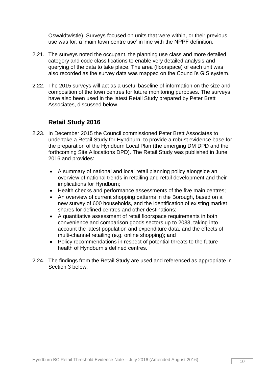Oswaldtwistle). Surveys focused on units that were within, or their previous use was for, a 'main town centre use' in line with the NPPF definition.

- 2.21. The surveys noted the occupant, the planning use class and more detailed category and code classifications to enable very detailed analysis and querying of the data to take place. The area (floorspace) of each unit was also recorded as the survey data was mapped on the Council's GIS system.
- 2.22. The 2015 surveys will act as a useful baseline of information on the size and composition of the town centres for future monitoring purposes. The surveys have also been used in the latest Retail Study prepared by Peter Brett Associates, discussed below.

# **Retail Study 2016**

- <span id="page-9-0"></span>2.23. In December 2015 the Council commissioned Peter Brett Associates to undertake a Retail Study for Hyndburn, to provide a robust evidence base for the preparation of the Hyndburn Local Plan (the emerging DM DPD and the forthcoming Site Allocations DPD). The Retail Study was published in June 2016 and provides:
	- A summary of national and local retail planning policy alongside an overview of national trends in retailing and retail development and their implications for Hyndburn;
	- Health checks and performance assessments of the five main centres;
	- An overview of current shopping patterns in the Borough, based on a new survey of 600 households, and the identification of existing market shares for defined centres and other destinations;
	- A quantitative assessment of retail floorspace requirements in both convenience and comparison goods sectors up to 2033, taking into account the latest population and expenditure data, and the effects of multi-channel retailing (e.g. online shopping); and
	- Policy recommendations in respect of potential threats to the future health of Hyndburn's defined centres.
- 2.24. The findings from the Retail Study are used and referenced as appropriate in Section 3 below.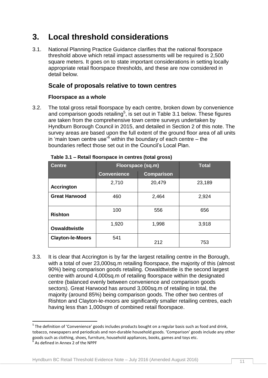# <span id="page-10-0"></span>**3. Local threshold considerations**

3.1. National Planning Practice Guidance clarifies that the national floorspace threshold above which retail impact assessments will be required is 2,500 square meters. It goes on to state important considerations in setting locally appropriate retail floorspace thresholds, and these are now considered in detail below.

# <span id="page-10-1"></span>**Scale of proposals relative to town centres**

#### **Floorspace as a whole**

**.** 

<span id="page-10-2"></span>3.2. The total gross retail floorspace by each centre, broken down by convenience and comparison goods retailing<sup>5</sup>, is set out in Table 3.1 below. These figures are taken from the comprehensive town centre surveys undertaken by Hyndburn Borough Council in 2015, and detailed in Section 2 of this note. The survey areas are based upon the full extent of the ground floor area of all units in 'main town centre use' within the boundary of each centre  $-$  the boundaries reflect those set out in the Council's Local Plan.

| <b>Centre</b>                  | Floorspace (sq.m)                       | <b>Total</b> |        |
|--------------------------------|-----------------------------------------|--------------|--------|
|                                | <b>Convenience</b><br><b>Comparison</b> |              |        |
| <b>Accrington</b>              | 2,710                                   | 20,479       | 23,189 |
| <b>Great Harwood</b>           | 460                                     | 2,464        | 2,924  |
| <b>Rishton</b>                 | 100                                     | 556          | 656    |
| <b>Oswaldtwistle</b>           | 1,920                                   | 1,998        | 3,918  |
| <b>Clayton-le-Moors</b><br>541 |                                         | 212          | 753    |

|  | Table 3.1 – Retail floorspace in centres (total gross) |  |  |  |
|--|--------------------------------------------------------|--|--|--|
|--|--------------------------------------------------------|--|--|--|

3.3. It is clear that Accrington is by far the largest retailing centre in the Borough, with a total of over 23,000sq.m retailing floorspace, the majority of this (almost 90%) being comparison goods retailing. Oswaldtwistle is the second largest centre with around 4,000sq.m of retailing floorspace within the designated centre (balanced evenly between convenience and comparison goods sectors). Great Harwood has around 3,000sq.m of retailing in total, the majority (around 85%) being comparison goods. The other two centres of Rishton and Clayton-le-moors are significantly smaller retailing centres, each having less than 1,000sqm of combined retail floorspace.

<sup>&</sup>lt;sup>5</sup> The definition of 'Convenience' goods includes products bought on a regular basis such as food and drink, tobacco, newspapers and periodicals and non-durable household goods. 'Comparison' goods include any other goods such as clothing, shoes, furniture, household appliances, books, games and toys etc. 6 As defined in Annex 2 of the NPPF

Hyndburn BC Retail Threshold Evidence Note – July 2016 (Amended August 2016)  $\sqrt{11}$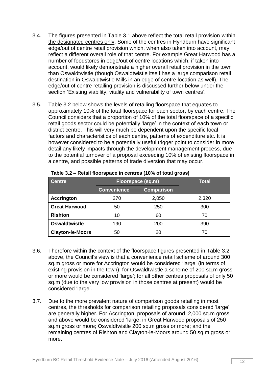- 3.4. The figures presented in Table 3.1 above reflect the total retail provision within the designated centres only. Some of the centres in Hyndburn have significant edge/out of centre retail provision which, when also taken into account, may reflect a different overall role of that centre. For example Great Harwood has a number of foodstores in edge/out of centre locations which, if taken into account, would likely demonstrate a higher overall retail provision in the town than Oswaldtwistle (though Oswaldtwistle itself has a large comparison retail destination in Oswaldtwistle Mills in an edge of centre location as well). The edge/out of centre retailing provision is discussed further below under the section 'Existing viability, vitality and vulnerability of town centres'.
- 3.5. Table 3.2 below shows the levels of retailing floorspace that equates to approximately 10% of the total floorspace for each sector, by each centre. The Council considers that a proportion of 10% of the total floorspace of a specific retail goods sector could be potentially 'large' in the context of each town or district centre. This will very much be dependent upon the specific local factors and characteristics of each centre, patterns of expenditure etc. It is however considered to be a potentially useful trigger point to consider in more detail any likely impacts through the development management process, due to the potential turnover of a proposal exceeding 10% of existing floorspace in a centre, and possible patterns of trade diversion that may occur.

| <b>Centre</b>           | Floorspace (sq.m)                       | <b>Total</b> |       |
|-------------------------|-----------------------------------------|--------------|-------|
|                         | <b>Convenience</b><br><b>Comparison</b> |              |       |
| <b>Accrington</b>       | 270                                     | 2,050        | 2,320 |
| <b>Great Harwood</b>    | 50                                      | 250          | 300   |
| <b>Rishton</b>          | 10                                      | 60           | 70    |
| <b>Oswaldtwistle</b>    | 190                                     | 200          | 390   |
| <b>Clayton-le-Moors</b> | 50                                      | 20           | 70    |

| Table 3.2 – Retail floorspace in centres (10% of total gross) |  |
|---------------------------------------------------------------|--|
|---------------------------------------------------------------|--|

- 3.6. Therefore within the context of the floorspace figures presented in Table 3.2 above, the Council's view is that a convenience retail scheme of around 300 sq.m gross or more for Accrington would be considered 'large' (in terms of existing provision in the town); for Oswaldtwistle a scheme of 200 sq.m gross or more would be considered 'large'; for all other centres proposals of only 50 sq.m (due to the very low provision in those centres at present) would be considered 'large'.
- 3.7. Due to the more prevalent nature of comparison goods retailing in most centres, the thresholds for comparison retailing proposals considered 'large' are generally higher. For Accrington, proposals of around 2,000 sq.m gross and above would be considered 'large; in Great Harwood proposals of 250 sq.m gross or more; Oswaldtwistle 200 sq.m gross or more; and the remaining centres of Rishton and Clayton-le-Moors around 50 sq.m gross or more.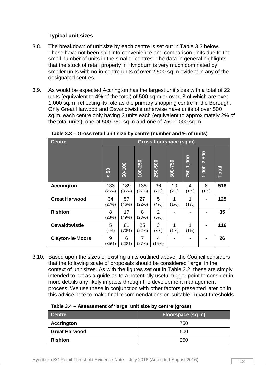#### **Typical unit sizes**

- <span id="page-12-0"></span>3.8. The breakdown of unit size by each centre is set out in Table 3.3 below. These have not been split into convenience and comparison units due to the small number of units in the smaller centres. The data in general highlights that the stock of retail property in Hyndburn is very much dominated by smaller units with no in-centre units of over 2,500 sq.m evident in any of the designated centres.
- 3.9. As would be expected Accrington has the largest unit sizes with a total of 22 units (equivalent to 4% of the total) of 500 sq.m or over, 8 of which are over 1,000 sq.m, reflecting its role as the primary shopping centre in the Borough. Only Great Harwood and Oswaldtwistle otherwise have units of over 500 sq.m, each centre only having 2 units each (equivalent to approximately 2% of the total units), one of  $500-750$  sq.m and one of  $750-1.000$  sq.m.

| <b>Centre</b>           | Gross floorspace (sq.m)        |              |                         |            |            |              |             |       |
|-------------------------|--------------------------------|--------------|-------------------------|------------|------------|--------------|-------------|-------|
|                         | င္တ<br>$\overline{\mathbf{V}}$ | 50-100       | 100-250                 | 250-500    | 500-750    | 750-1,000    | 1,000-2,500 | Total |
| <b>Accrington</b>       | 133<br>(26%)                   | 189<br>(36%) | 138<br>(27%)            | 36<br>(7%) | 10<br>(2%) | 4<br>(1%)    | 8<br>(1%)   | 518   |
| <b>Great Harwood</b>    | 34<br>(27%)                    | 57<br>(46%)  | 27<br>(22%)             | 5<br>(4% ) | 1<br>(1%)  | 1<br>$(1\%)$ |             | 125   |
| <b>Rishton</b>          | 8<br>(23%)                     | 17<br>(49%)  | 8<br>(23%)              | 2<br>(6%)  |            |              |             | 35    |
| <b>Oswaldtwistle</b>    | 5<br>(4% )                     | 81<br>(70%)  | 25<br>(22%)             | 3<br>(3%)  | 1<br>(1%)  | 1<br>(1%)    |             | 116   |
| <b>Clayton-le-Moors</b> | 9<br>(35%)                     | 6<br>(23%)   | $\overline{7}$<br>(27%) | 4<br>(15%) |            |              |             | 26    |

**Table 3.3 – Gross retail unit size by centre (number and % of units)**

3.10. Based upon the sizes of existing units outlined above, the Council considers that the following scale of proposals should be considered 'large' in the context of unit sizes. As with the figures set out in Table 3.2, these are simply intended to act as a guide as to a potentially useful trigger point to consider in more details any likely impacts through the development management process. We use these in conjunction with other factors presented later on in this advice note to make final recommendations on suitable impact thresholds.

**Table 3.4 – Assessment of 'large' unit size by centre (gross)**

| <b>Centre</b>        | Floorspace (sq.m) |
|----------------------|-------------------|
| <b>Accrington</b>    | 750               |
| <b>Great Harwood</b> | 500               |
| <b>Rishton</b>       | 250               |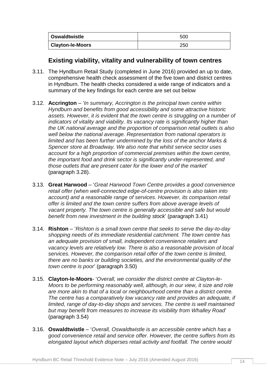| <b>Oswaldtwistle</b>    | 500 |
|-------------------------|-----|
| <b>Clayton-le-Moors</b> | 250 |

## **Existing viability, vitality and vulnerability of town centres**

- <span id="page-13-0"></span>3.11. The Hyndburn Retail Study (completed in June 2016) provided an up to date, comprehensive health check assessment of the five town and district centres in Hyndburn. The health checks considered a wide range of indicators and a summary of the key findings for each centre are set out below
- 3.12. **Accrington** '*In summary, Accrington is the principal town centre within Hyndburn and benefits from good accessibility and some attractive historic assets. However, it is evident that the town centre is struggling on a number of indicators of vitality and viability. Its vacancy rate is significantly higher than the UK national average and the proportion of comparison retail outlets is also well below the national average. Representation from national operators is limited and has been further undermined by the loss of the anchor Marks & Spencer store at Broadway. We also note that whilst service sector uses account for a high proportion of commercial premises within the town centre, the important food and drink sector is significantly under-represented, and those outlets that are present cater for the lower end of the market*' (paragraph 3.28).
- 3.13. **Great Harwood** '*Great Harwood Town Centre provides a good convenience retail offer (when well-connected edge-of-centre provision is also taken into account) and a reasonable range of services. However, its comparison retail offer is limited and the town centre suffers from above average levels of vacant property. The town centre is generally accessible and safe but would benefit from new investment in the building stock*' (paragraph 3.41)
- 3.14. **Rishton** '*Rishton is a small town centre that seeks to serve the day-to-day shopping needs of its immediate residential catchment. The town centre has an adequate provision of small, independent convenience retailers and vacancy levels are relatively low. There is also a reasonable provision of local services. However, the comparison retail offer of the town centre is limited, there are no banks or building societies, and the environmental quality of the town centre is poor*' (paragraph 3.50)
- 3.15. **Clayton-le-Moors** '*Overall, we consider the district centre at Clayton-le-Moors to be performing reasonably well, although, in our view, it size and role are more akin to that of a local or neighbourhood centre than a district centre. The centre has a comparatively low vacancy rate and provides an adequate, if limited, range of day-to-day shops and services. The centre is well maintained but may benefit from measures to increase its visibility from Whalley Road*' (paragraph 3.54)
- 3.16. **Oswaldtwistle** '*Overall, Oswaldtwistle is an accessible centre which has a good convenience retail and service offer. However, the centre suffers from its elongated layout which disperses retail activity and footfall. The centre would*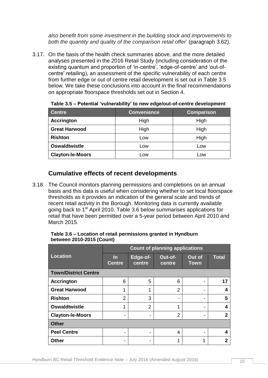*also benefit from some investment in the building stock and improvements to both the quantity and quality of the comparison retail offer*' (paragraph 3.62).

3.17. On the basis of the health check summaries above, and the more detailed analyses presented in the 2016 Retail Study (including consideration of the existing quantum and proportion of 'in-centre', 'edge-of-centre' and 'out-ofcentre' retailing), an assessment of the specific vulnerability of each centre from further edge or out of centre retail development is set out in Table 3.5 below. We take these conclusions into account in the final recommendations on appropriate floorspace thresholds set out in Section 4.

| <b>Centre</b>           | <b>Convenience</b> | <b>Comparison</b> |
|-------------------------|--------------------|-------------------|
| <b>Accrington</b>       | High               | High              |
| <b>Great Harwood</b>    | High               | High              |
| <b>Rishton</b>          | Low                | High              |
| <b>Oswaldtwistle</b>    | Low                | Low               |
| <b>Clayton-le-Moors</b> | <b>LOW</b>         | Low               |

**Table 3.5 – Potential 'vulnerability' to new edge/out-of-centre development**

## **Cumulative effects of recent developments**

<span id="page-14-0"></span>3.18. The Council monitors planning permissions and completions on an annual basis and this data is useful when considering whether to set local floorspace thresholds as it provides an indication of the general scale and trends of recent retail activity in the Borough. Monitoring data is currently available going back to 1<sup>st</sup> April 2010. Table 3.6 below summarises applications for retail that have been permitted over a 5-year period between April 2010 and March 2015.

|                             | <b>Count of planning applications</b> |                    |                   |                       |              |  |  |
|-----------------------------|---------------------------------------|--------------------|-------------------|-----------------------|--------------|--|--|
| <b>Location</b>             | In<br><b>Centre</b>                   | Edge-of-<br>centre | Out-of-<br>centre | Out of<br><b>Town</b> | <b>Total</b> |  |  |
| <b>Town/District Centre</b> |                                       |                    |                   |                       |              |  |  |
| <b>Accrington</b>           | 6                                     | 5                  | 6                 |                       | 17           |  |  |
| <b>Great Harwood</b>        | 1                                     |                    | 2                 |                       | 4            |  |  |
| <b>Rishton</b>              | 2                                     | 3                  | -                 |                       | 5            |  |  |
| <b>Oswaldtwistle</b>        |                                       | $\overline{2}$     | 1                 |                       | 4            |  |  |
| <b>Clayton-le-Moors</b>     |                                       |                    | 2                 |                       | $\mathbf{2}$ |  |  |
| <b>Other</b>                |                                       |                    |                   |                       |              |  |  |
| <b>Peel Centre</b>          | -                                     | -                  | 4                 |                       | 4            |  |  |
| <b>Other</b>                |                                       | ۰                  | 1                 | 1                     | 2            |  |  |

**Table 3.6 – Location of retail permissions granted in Hyndburn between 2010-2015 (Count)**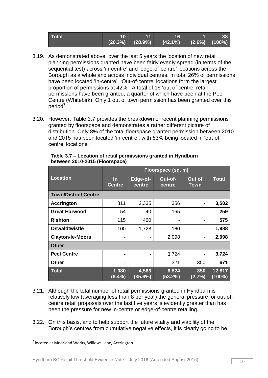| <b>Total</b> | 10 I | 46                                                   | 38 <sup>1</sup> |
|--------------|------|------------------------------------------------------|-----------------|
|              |      | $(26.3\%)$ $(28.9\%)$ $(42.1\%)$ $(2.6\%)$ $(100\%)$ |                 |

- 3.19. As demonstrated above, over the last 5 years the location of new retail planning permissions granted have been fairly evenly spread (in terms of the sequential test) across 'in-centre' and 'edge-of-centre' locations across the Borough as a whole and across individual centres. In total 26% of permissions have been located 'in-centre'. 'Out-of-centre' locations form the largest proportion of permissions at 42%. A total of 16 'out of centre' retail permissions have been granted, a quarter of which have been at the Peel Centre (Whitebirk). Only 1 out of town permission has been granted over this period<sup>7</sup>.
- 3.20. However, Table 3.7 provides the breakdown of recent planning permissions granted by floorspace and demonstrates a rather different picture of distribution. Only 8% of the total floorspace granted permission between 2010 and 2015 has been located 'in-centre', with 53% being located in 'out-ofcentre' locations.

|                             | Floorspace (sq. m)         |                    |                   |                          |                     |  |  |
|-----------------------------|----------------------------|--------------------|-------------------|--------------------------|---------------------|--|--|
| <b>Location</b>             | <u>In</u><br><b>Centre</b> | Edge-of-<br>centre | Out-of-<br>centre | Out of<br><b>Town</b>    | <b>Total</b>        |  |  |
| <b>Town/District Centre</b> |                            |                    |                   |                          |                     |  |  |
| <b>Accrington</b>           | 811                        | 2,335              | 356               | -                        | 3,502               |  |  |
| <b>Great Harwood</b>        | 54                         | 40                 | 165               |                          | 259                 |  |  |
| <b>Rishton</b>              | 115                        | 460                |                   | $\overline{\phantom{a}}$ | 575                 |  |  |
| <b>Oswaldtwistle</b>        | 100                        | 1,728              | 160               | -                        | 1,988               |  |  |
| <b>Clayton-le-Moors</b>     | $\blacksquare$             |                    | 2,098             | -                        | 2,098               |  |  |
| <b>Other</b>                |                            |                    |                   |                          |                     |  |  |
| <b>Peel Centre</b>          | $\overline{\phantom{a}}$   |                    | 3,724             | -                        | 3,724               |  |  |
| <b>Other</b>                |                            |                    | 321               | 350                      | 671                 |  |  |
| <b>Total</b>                | 1,080<br>$(8.4\%)$         | 4,563<br>(35.6%)   | 6,824<br>(53.2%)  | 350<br>(2.7%             | 12,817<br>$(100\%)$ |  |  |

#### **Table 3.7 – Location of retail permissions granted in Hyndburn between 2010-2015 (Floorspace)**

- 3.21. Although the total number of retail permissions granted in Hyndburn is relatively low (averaging less than 8 per year) the general pressure for out-ofcentre retail proposals over the last five years is evidently greater than has been the pressure for new in-centre or edge-of-centre retailing.
- 3.22. On this basis, and to help support the future vitality and viability of the Borough's centres from cumulative negative effects, it is clearly going to be

**.** 

 $7$  located at Moorland Works, Willows Lane, Accrington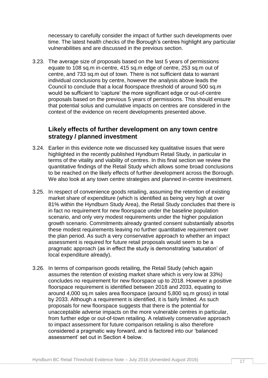necessary to carefully consider the impact of further such developments over time. The latest health checks of the Borough's centres highlight any particular vulnerabilities and are discussed in the previous section.

3.23. The average size of proposals based on the last 5 years of permissions equate to 108 sq.m in-centre, 415 sq.m edge of centre, 253 sq.m out of centre, and 733 sq.m out of town. There is not sufficient data to warrant individual conclusions by centre, however the analysis above leads the Council to conclude that a local floorspace threshold of around 500 sq.m would be sufficient to 'capture' the more significant edge or out-of-centre proposals based on the previous 5 years of permissions. This should ensure that potential solus and cumulative impacts on centres are considered in the context of the evidence on recent developments presented above.

## <span id="page-16-0"></span>**Likely effects of further development on any town centre strategy / planned investment**

- 3.24. Earlier in this evidence note we discussed key qualitative issues that were highlighted in the recently published Hyndburn Retail Study, in particular in terms of the vitality and viability of centres. In this final section we review the quantitative findings of the Retail Study which allows some broad conclusions to be reached on the likely effects of further development across the Borough. We also look at any town centre strategies and planned in-centre investment.
- 3.25. In respect of convenience goods retailing, assuming the retention of existing market share of expenditure (which is identified as being very high at over 81% within the Hyndburn Study Area), the Retail Study concludes that there is in fact no requirement for new floorspace under the baseline population scenario, and only very modest requirements under the higher population growth scenario. Commitments already granted consent substantially absorbs these modest requirements leaving no further quantitative requirement over the plan period. As such a very conservative approach to whether an impact assessment is required for future retail proposals would seem to be a pragmatic approach (as in effect the study is demonstrating 'saturation' of local expenditure already).
- 3.26. In terms of comparison goods retailing, the Retail Study (which again assumes the retention of existing market share which is very low at 33%) concludes no requirement for new floorspace up to 2018. However a positive floorspace requirement is identified between 2018 and 2033, equating to around 4,000 sq.m sales area floorspace (around 5,800 sq.m gross) in total by 2033. Although a requirement is identified, it is fairly limited. As such proposals for new floorspace suggests that there is the potential for unacceptable adverse impacts on the more vulnerable centres in particular, from further edge or out-of-town retailing. A relatively conservative approach to impact assessment for future comparison retailing is also therefore considered a pragmatic way forward, and is factored into our 'balanced assessment' set out in Section 4 below.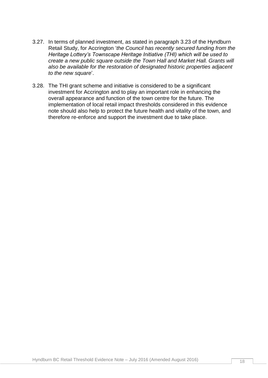- 3.27. In terms of planned investment, as stated in paragraph 3.23 of the Hyndburn Retail Study, for Accrington '*the Council has recently secured funding from the Heritage Lottery's Townscape Heritage Initiative (THI) which will be used to create a new public square outside the Town Hall and Market Hall. Grants will also be available for the restoration of designated historic properties adjacent to the new square*'.
- 3.28. The THI grant scheme and initiative is considered to be a significant investment for Accrington and to play an important role in enhancing the overall appearance and function of the town centre for the future. The implementation of local retail impact thresholds considered in this evidence note should also help to protect the future health and vitality of the town, and therefore re-enforce and support the investment due to take place.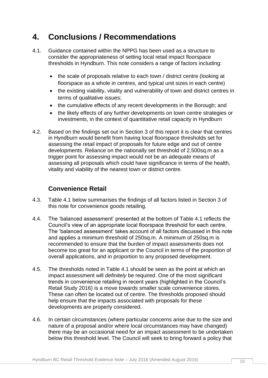# <span id="page-18-0"></span>**4. Conclusions / Recommendations**

- 4.1. Guidance contained within the NPPG has been used as a structure to consider the appropriateness of setting local retail impact floorspace thresholds in Hyndburn. This note considers a range of factors including:
	- the scale of proposals relative to each town / district centre (looking at floorspace as a whole in centres, and typical unit sizes in each centre)
	- the existing viability, vitality and vulnerability of town and district centres in terms of qualitative issues;
	- the cumulative effects of any recent developments in the Borough; and
	- the likely effects of any further developments on town centre strategies or investments, in the context of quantitative retail capacity in Hyndburn
- 4.2. Based on the findings set out in Section 3 of this report it is clear that centres in Hyndburn would benefit from having local floorspace thresholds set for assessing the retail impact of proposals for future edge and out of centre developments. Reliance on the nationally set threshold of 2,500sq.m as a trigger point for assessing impact would not be an adequate means of assessing all proposals which could have significance in terms of the health, vitality and viability of the nearest town or district centre.

# **Convenience Retail**

- <span id="page-18-1"></span>4.3. Table 4.1 below summarises the findings of all factors listed in Section 3 of this note for convenience goods retailing.
- 4.4. The 'balanced assessment' presented at the bottom of Table 4.1 reflects the Council's view of an appropriate local floorspace threshold for each centre. The 'balanced assessment' takes account of all factors discussed in this note and applies a minimum threshold of 250sq.m. A minimum of 250sq.m is recommended to ensure that the burden of impact assessments does not become too great for an applicant or the Council in terms of the proportion of overall applications, and in proportion to any proposed development.
- 4.5. The thresholds noted in Table 4.1 should be seen as the point at which an impact assessment will *definitely* be required. One of the most significant trends in convenience retailing in recent years (highlighted in the Council's Retail Study 2016) is a move towards smaller scale convenience stores. These can often be located out of centre. The thresholds proposed should help ensure that the impacts associated with proposals for these developments are properly considered.
- 4.6. In certain circumstances (where particular concerns arise due to the size and nature of a proposal and/or where local circumstances may have changed) there may be an occasional need for an impact assessment to be undertaken below this threshold level. The Council will seek to bring forward a policy that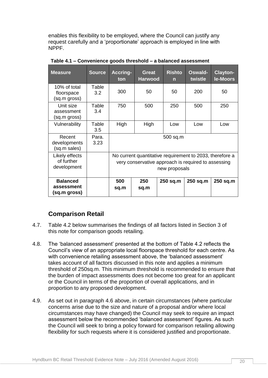enables this flexibility to be employed, where the Council can justify any request carefully and a 'proportionate' approach is employed in line with NPPF.

| <b>Measure</b>                                | <b>Source</b> | <b>Accring-</b><br>ton                                                                                                           | Great<br><b>Harwood</b> | <b>Rishto</b><br>n | <b>Oswald-</b><br>twistle | Clayton-<br>le-Moors |
|-----------------------------------------------|---------------|----------------------------------------------------------------------------------------------------------------------------------|-------------------------|--------------------|---------------------------|----------------------|
| 10% of total<br>floorspace<br>(sq.m gross)    | Table<br>3.2  | 300                                                                                                                              | 50                      | 50                 | 200                       | 50                   |
| Unit size<br>assessment<br>(sq.m gross)       | Table<br>3.4  | 750                                                                                                                              | 500                     | 250                | 500                       | 250                  |
| Vulnerability                                 | Table<br>3.5  | High                                                                                                                             | High                    | Low                | Low                       | Low                  |
| Recent<br>developments<br>(sq.m sales)        | Para.<br>3.23 | 500 sq.m                                                                                                                         |                         |                    |                           |                      |
| Likely effects<br>of further<br>development   |               | No current quantitative requirement to 2033, therefore a<br>very conservative approach is required to assessing<br>new proposals |                         |                    |                           |                      |
| <b>Balanced</b><br>assessment<br>(sq.m gross) |               | 500<br>sq.m                                                                                                                      | 250<br>sq.m             | 250 sq.m           | 250 sq.m                  | 250 sq.m             |

**Table 4.1 – Convenience goods threshold – a balanced assessment**

# <span id="page-19-0"></span>**Comparison Retail**

- 4.7. Table 4.2 below summarises the findings of all factors listed in Section 3 of this note for comparison goods retailing.
- 4.8. The 'balanced assessment' presented at the bottom of Table 4.2 reflects the Council's view of an appropriate local floorspace threshold for each centre. As with convenience retailing assessment above, the 'balanced assessment' takes account of all factors discussed in this note and applies a minimum threshold of 250sq.m. This minimum threshold is recommended to ensure that the burden of impact assessments does not become too great for an applicant or the Council in terms of the proportion of overall applications, and in proportion to any proposed development.
- 4.9. As set out in paragraph 4.6 above, in certain circumstances (where particular concerns arise due to the size and nature of a proposal and/or where local circumstances may have changed) the Council may seek to require an impact assessment below the recommended 'balanced assessment' figures. As such the Council will seek to bring a policy forward for comparison retailing allowing flexibility for such requests where it is considered justified and proportionate.